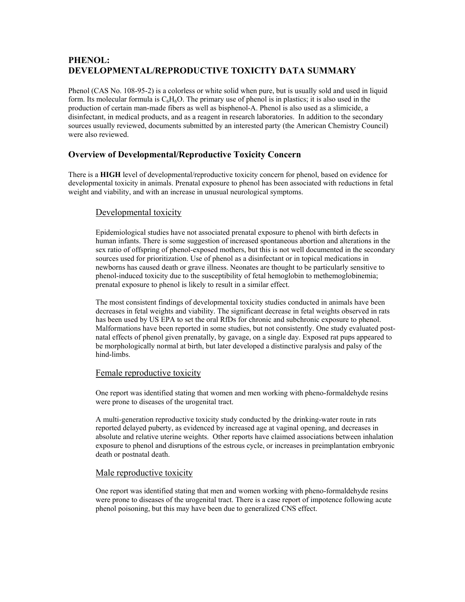# **PHENOL: DEVELOPMENTAL/REPRODUCTIVE TOXICITY DATA SUMMARY**

Phenol (CAS No. 108-95-2) is a colorless or white solid when pure, but is usually sold and used in liquid form. Its molecular formula is  $C_6H_6O$ . The primary use of phenol is in plastics; it is also used in the production of certain man-made fibers as well as bisphenol-A. Phenol is also used as a slimicide, a disinfectant, in medical products, and as a reagent in research laboratories. In addition to the secondary sources usually reviewed, documents submitted by an interested party (the American Chemistry Council) were also reviewed.

## **Overview of Developmental/Reproductive Toxicity Concern**

 There is a **HIGH** level of developmental/reproductive toxicity concern for phenol, based on evidence for developmental toxicity in animals. Prenatal exposure to phenol has been associated with reductions in fetal weight and viability, and with an increase in unusual neurological symptoms.

## Developmental toxicity

 Epidemiological studies have not associated prenatal exposure to phenol with birth defects in sex ratio of offspring of phenol-exposed mothers, but this is not well documented in the secondary newborns has caused death or grave illness. Neonates are thought to be particularly sensitive to human infants. There is some suggestion of increased spontaneous abortion and alterations in the sources used for prioritization. Use of phenol as a disinfectant or in topical medications in phenol-induced toxicity due to the susceptibility of fetal hemoglobin to methemoglobinemia; prenatal exposure to phenol is likely to result in a similar effect.

 has been used by US EPA to set the oral RfDs for chronic and subchronic exposure to phenol. Malformations have been reported in some studies, but not consistently. One study evaluated post- natal effects of phenol given prenatally, by gavage, on a single day. Exposed rat pups appeared to The most consistent findings of developmental toxicity studies conducted in animals have been decreases in fetal weights and viability. The significant decrease in fetal weights observed in rats be morphologically normal at birth, but later developed a distinctive paralysis and palsy of the hind-limbs.

### Female reproductive toxicity

One report was identified stating that women and men working with pheno-formaldehyde resins were prone to diseases of the urogenital tract.

 exposure to phenol and disruptions of the estrous cycle, or increases in preimplantation embryonic death or postnatal death. A multi-generation reproductive toxicity study conducted by the drinking-water route in rats reported delayed puberty, as evidenced by increased age at vaginal opening, and decreases in absolute and relative uterine weights. Other reports have claimed associations between inhalation

## Male reproductive toxicity

 phenol poisoning, but this may have been due to generalized CNS effect. One report was identified stating that men and women working with pheno-formaldehyde resins were prone to diseases of the urogenital tract. There is a case report of impotence following acute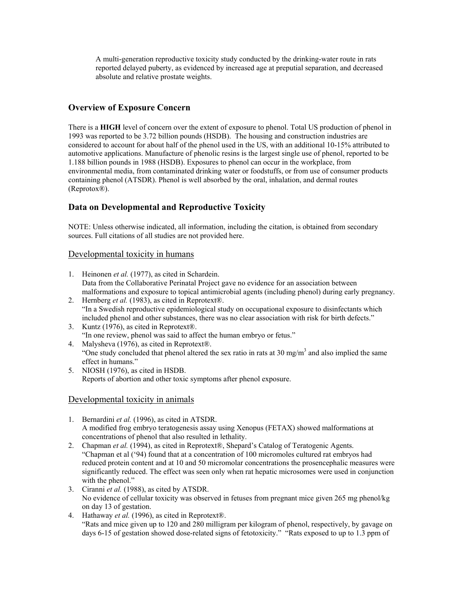reported delayed puberty, as evidenced by increased age at preputial separation, and decreased A multi-generation reproductive toxicity study conducted by the drinking-water route in rats absolute and relative prostate weights.

## **Overview of Exposure Concern**

 automotive applications. Manufacture of phenolic resins is the largest single use of phenol, reported to be containing phenol (ATSDR). Phenol is well absorbed by the oral, inhalation, and dermal routes (Reprotox®). There is a **HIGH** level of concern over the extent of exposure to phenol. Total US production of phenol in 1993 was reported to be 3.72 billion pounds (HSDB). The housing and construction industries are considered to account for about half of the phenol used in the US, with an additional 10-15% attributed to 1.188 billion pounds in 1988 (HSDB). Exposures to phenol can occur in the workplace, from environmental media, from contaminated drinking water or foodstuffs, or from use of consumer products

# **Data on Developmental and Reproductive Toxicity**

NOTE: Unless otherwise indicated, all information, including the citation, is obtained from secondary sources. Full citations of all studies are not provided here.

## Developmental toxicity in humans

- Data from the Collaborative Perinatal Project gave no evidence for an association between malformations and exposure to topical antimicrobial agents (including phenol) during early pregnancy. 1. Heinonen *et al.* (1977), as cited in Schardein.
- included phenol and other substances, there was no clear association with risk for birth defects." 2. Hernberg *et al.* (1983), as cited in Reprotext®. "In a Swedish reproductive epidemiological study on occupational exposure to disinfectants which
- "In one review, phenol was said to affect the human embryo or fetus." 3. Kuntz (1976), as cited in Reprotext®.
- "One study concluded that phenol altered the sex ratio in rats at 30 mg/m<sup>3</sup> and also implied the same effect in humans." 4. Malysheva (1976), as cited in Reprotext®.
- 5. NIOSH (1976), as cited in HSDB. Reports of abortion and other toxic symptoms after phenol exposure.

## Developmental toxicity in animals

- 1. Bernardini *et al.* (1996), as cited in ATSDR. A modified frog embryo teratogenesis assay using Xenopus (FETAX) showed malformations at concentrations of phenol that also resulted in lethality.
- 2. Chapman *et al.* (1994), as cited in Reprotext®, Shepard's Catalog of Teratogenic Agents. "Chapman et al ('94) found that at a concentration of 100 micromoles cultured rat embryos had reduced protein content and at 10 and 50 micromolar concentrations the prosencephalic measures were significantly reduced. The effect was seen only when rat hepatic microsomes were used in conjunction with the phenol."
- 3. Ciranni et al. (1988), as cited by ATSDR. 3. Ciranni *et al.* (1988), as cited by ATSDR. No evidence of cellular toxicity was observed in fetuses from pregnant mice given 265 mg phenol/kg on day 13 of gestation.
- "Rats and mice given up to 120 and 280 milligram per kilogram of phenol, respectively, by gavage on days 6-15 of gestation showed dose-related signs of fetotoxicity." "Rats exposed to up to 1.3 ppm of 4. Hathaway *et al.* (1996), as cited in Reprotext®.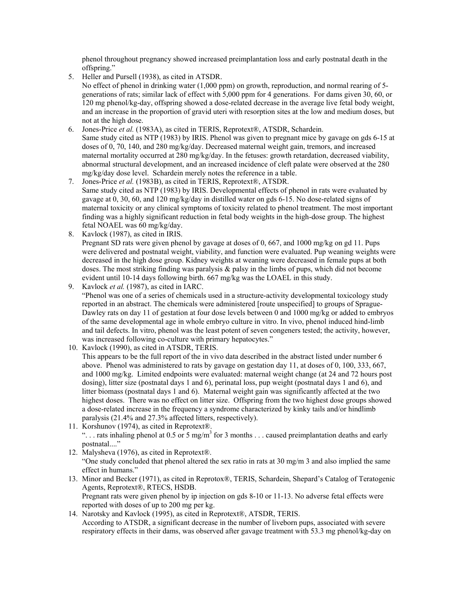phenol throughout pregnancy showed increased preimplantation loss and early postnatal death in the offspring."

5. Heller and Pursell (1938), as cited in ATSDR.

 No effect of phenol in drinking water (1,000 ppm) on growth, reproduction, and normal rearing of 5 generations of rats; similar lack of effect with 5,000 ppm for 4 generations. For dams given 30, 60, or and an increase in the proportion of gravid uteri with resorption sites at the low and medium doses, but 120 mg phenol/kg-day, offspring showed a dose-related decrease in the average live fetal body weight, not at the high dose.

- Same study cited as NTP (1983) by IRIS. Phenol was given to pregnant mice by gavage on gds 6-15 at 6. Jones-Price *et al.* (1983A), as cited in TERIS, Reprotext®, ATSDR, Schardein. doses of 0, 70, 140, and 280 mg/kg/day. Decreased maternal weight gain, tremors, and increased maternal mortality occurred at 280 mg/kg/day. In the fetuses: growth retardation, decreased viability, abnormal structural development, and an increased incidence of cleft palate were observed at the 280 mg/kg/day dose level. Schardein merely notes the reference in a table.
- 7. Jones-Price et al. (1983B), as cited in TERIS, Reprotext®, ATSDR. fetal NOAEL was 60 mg/kg/day. Same study cited as NTP (1983) by IRIS. Developmental effects of phenol in rats were evaluated by gavage at 0, 30, 60, and 120 mg/kg/day in distilled water on gds 6-15. No dose-related signs of maternal toxicity or any clinical symptoms of toxicity related to phenol treatment. The most important finding was a highly significant reduction in fetal body weights in the high-dose group. The highest
- Pregnant SD rats were given phenol by gavage at doses of 0, 667, and 1000 mg/kg on gd 11. Pups decreased in the high dose group. Kidney weights at weaning were decreased in female pups at both 8. Kavlock (1987), as cited in IRIS. were delivered and postnatal weight, viability, and function were evaluated. Pup weaning weights were doses. The most striking finding was paralysis & palsy in the limbs of pups, which did not become evident until 10-14 days following birth. 667 mg/kg was the LOAEL in this study.
- reported in an abstract. The chemicals were administered [route unspecified] to groups of Sprague- Dawley rats on day 11 of gestation at four dose levels between 0 and 1000 mg/kg or added to embryos 9. Kavlock *et al.* (1987), as cited in IARC. "Phenol was one of a series of chemicals used in a structure-activity developmental toxicology study of the same developmental age in whole embryo culture in vitro. In vivo, phenol induced hind-limb and tail defects. In vitro, phenol was the least potent of seven congeners tested; the activity, however, was increased following co-culture with primary hepatocytes."
- 10. Kavlock (1990), as cited in ATSDR, TERIS.

 This appears to be the full report of the in vivo data described in the abstract listed under number 6 above. Phenol was administered to rats by gavage on gestation day 11, at doses of 0, 100, 333, 667, and 1000 mg/kg. Limited endpoints were evaluated: maternal weight change (at 24 and 72 hours post litter biomass (postnatal days 1 and 6). Maternal weight gain was significantly affected at the two highest doses. There was no effect on litter size. Offspring from the two highest dose groups showed dosing), litter size (postnatal days 1 and 6), perinatal loss, pup weight (postnatal days 1 and 6), and a dose-related increase in the frequency a syndrome characterized by kinky tails and/or hindlimb paralysis (21.4% and 27.3% affected litters, respectively).

11. Korshunov (1974), as cited in Reprotext®.

"... rats inhaling phenol at 0.5 or 5 mg/m<sup>3</sup> for 3 months ... caused preimplantation deaths and early postnatal..."

- effect in humans." 12. Malysheva (1976), as cited in Reprotext®. "One study concluded that phenol altered the sex ratio in rats at  $30 \text{ mg/m}$  3 and also implied the same
- Pregnant rats were given phenol by ip injection on gds 8-10 or 11-13. No adverse fetal effects were reported with doses of up to 200 mg per kg. 13. Minor and Becker (1971), as cited in Reprotox®, TERIS, Schardein, Shepard's Catalog of Teratogenic Agents, Reprotext®, RTECS, HSDB.
- 14. Narotsky and Kavlock (1995), as cited in Reprotext®, ATSDR, TERIS. According to ATSDR, a significant decrease in the number of liveborn pups, associated with severe respiratory effects in their dams, was observed after gavage treatment with 53.3 mg phenol/kg-day on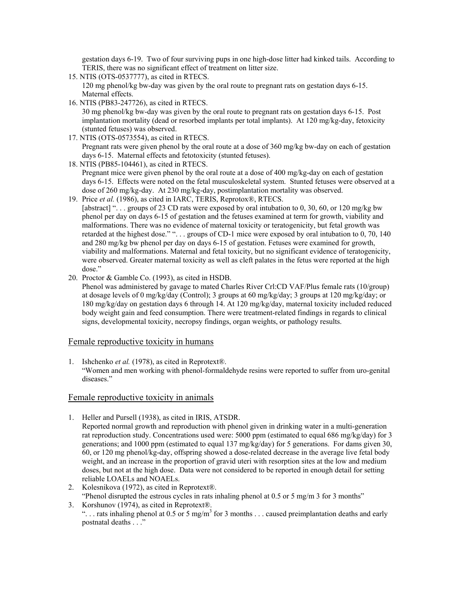gestation days 6-19. Two of four surviving pups in one high-dose litter had kinked tails. According to TERIS, there was no significant effect of treatment on litter size.

- 120 mg phenol/kg bw-day was given by the oral route to pregnant rats on gestation days 6-15. 15. NTIS (OTS-0537777), as cited in RTECS. Maternal effects.
- 30 mg phenol/kg bw-day was given by the oral route to pregnant rats on gestation days 6-15. Post 16. NTIS (PB83-247726), as cited in RTECS. implantation mortality (dead or resorbed implants per total implants). At 120 mg/kg-day, fetoxicity (stunted fetuses) was observed.
- 17. NTIS (OTS-0573554), as cited in RTECS. Pregnant rats were given phenol by the oral route at a dose of 360 mg/kg bw-day on each of gestation days 6-15. Maternal effects and fetotoxicity (stunted fetuses).
- Pregnant mice were given phenol by the oral route at a dose of 400 mg/kg-day on each of gestation 18. NTIS (PB85-104461), as cited in RTECS. days 6-15. Effects were noted on the fetal musculoskeletal system. Stunted fetuses were observed at a dose of 260 mg/kg-day. At 230 mg/kg-day, postimplantation mortality was observed.
- [abstract] "... groups of 23 CD rats were exposed by oral intubation to 0, 30, 60, or 120 mg/kg bw phenol per day on days 6-15 of gestation and the fetuses examined at term for growth, viability and retarded at the highest dose." ". . . groups of CD-1 mice were exposed by oral intubation to 0, 70, 140 19. Price *et al.* (1986), as cited in IARC, TERIS, Reprotox®, RTECS. malformations. There was no evidence of maternal toxicity or teratogenicity, but fetal growth was and 280 mg/kg bw phenol per day on days 6-15 of gestation. Fetuses were examined for growth, viability and malformations. Maternal and fetal toxicity, but no significant evidence of teratogenicity, were observed. Greater maternal toxicity as well as cleft palates in the fetus were reported at the high dose."
- 20. Proctor & Gamble Co. (1993), as cited in HSDB.

 at dosage levels of 0 mg/kg/day (Control); 3 groups at 60 mg/kg/day; 3 groups at 120 mg/kg/day; or Phenol was administered by gavage to mated Charles River Crl:CD VAF/Plus female rats (10/group) 180 mg/kg/day on gestation days 6 through 14. At 120 mg/kg/day, maternal toxicity included reduced body weight gain and feed consumption. There were treatment-related findings in regards to clinical signs, developmental toxicity, necropsy findings, organ weights, or pathology results.

#### Female reproductive toxicity in humans

1. Ishchenko *et al.* (1978), as cited in Reprotext®. "Women and men working with phenol-formaldehyde resins were reported to suffer from uro-genital

# diseases."<br>Female reproductive toxicity in animals

1. Heller and Pursell (1938), as cited in IRIS, ATSDR.

 Reported normal growth and reproduction with phenol given in drinking water in a multi-generation rat reproduction study. Concentrations used were: 5000 ppm (estimated to equal 686 mg/kg/day) for 3 doses, but not at the high dose. Data were not considered to be reported in enough detail for setting generations; and 1000 ppm (estimated to equal 137 mg/kg/day) for 5 generations. For dams given 30, 60, or 120 mg phenol/kg-day, offspring showed a dose-related decrease in the average live fetal body weight, and an increase in the proportion of gravid uteri with resorption sites at the low and medium reliable LOAELs and NOAELs.

2. Kolesnikova (1972), as cited in Reprotext<sup>®</sup>. "Phenol disrupted the estrous cycles in rats inhaling phenol at 0.5 or 5 mg/m 3 for 3 months" 3. Korshunov (1974), as cited in Reprotext<sup>®</sup>.

 postnatal deaths . . ." "... rats inhaling phenol at 0.5 or 5 mg/m<sup>3</sup> for 3 months ... caused preimplantation deaths and early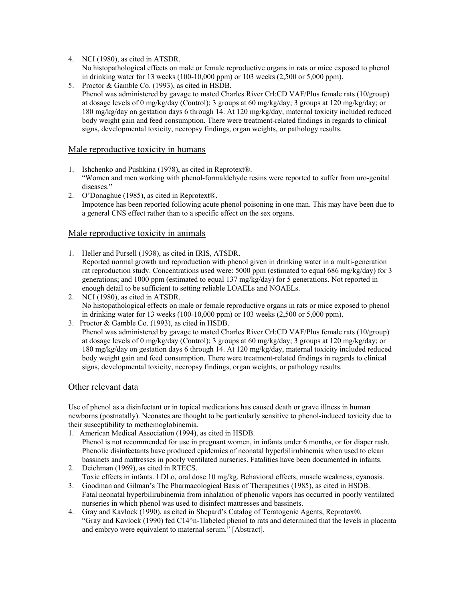4. NCI (1980), as cited in ATSDR.

 No histopathological effects on male or female reproductive organs in rats or mice exposed to phenol in drinking water for 13 weeks (100-10,000 ppm) or 103 weeks (2,500 or 5,000 ppm).

 at dosage levels of 0 mg/kg/day (Control); 3 groups at 60 mg/kg/day; 3 groups at 120 mg/kg/day; or 5. Proctor & Gamble Co. (1993), as cited in HSDB. Phenol was administered by gavage to mated Charles River Crl:CD VAF/Plus female rats (10/group) 180 mg/kg/day on gestation days 6 through 14. At 120 mg/kg/day, maternal toxicity included reduced body weight gain and feed consumption. There were treatment-related findings in regards to clinical signs, developmental toxicity, necropsy findings, organ weights, or pathology results.

### Male reproductive toxicity in humans

- 1. Ishchenko and Pushkina (1978), as cited in Reprotext<sup>®</sup>. diseases." "Women and men working with phenol-formaldehyde resins were reported to suffer from uro-genital
- 2. O'Donaghue (1985), as cited in Reprotext®. diseases."<br>2. O'Donaghue (1985), as cited in Reprotext®.<br>Impotence has been reported following acute phenol poisoning in one man. This may have been due to a general CNS effect rather than to a specific effect on the sex organs.

### Male reproductive toxicity in animals

- Reported normal growth and reproduction with phenol given in drinking water in a multi-generation rat reproduction study. Concentrations used were: 5000 ppm (estimated to equal 686 mg/kg/day) for 3 enough detail to be sufficient to setting reliable LOAELs and NOAELs. 1. Heller and Pursell (1938), as cited in IRIS, ATSDR. generations; and 1000 ppm (estimated to equal 137 mg/kg/day) for 5 generations. Not reported in
- 2. NCI (1980), as cited in ATSDR. No histopathological effects on male or female reproductive organs in rats or mice exposed to phenol in drinking water for 13 weeks (100-10,000 ppm) or 103 weeks (2,500 or 5,000 ppm).
- at dosage levels of 0 mg/kg/day (Control); 3 groups at 60 mg/kg/day; 3 groups at 120 mg/kg/day; or 3. Proctor & Gamble Co. (1993), as cited in HSDB. Phenol was administered by gavage to mated Charles River Crl:CD VAF/Plus female rats (10/group) 180 mg/kg/day on gestation days 6 through 14. At 120 mg/kg/day, maternal toxicity included reduced body weight gain and feed consumption. There were treatment-related findings in regards to clinical signs, developmental toxicity, necropsy findings, organ weights, or pathology results.

### Other relevant data

 Use of phenol as a disinfectant or in topical medications has caused death or grave illness in human newborns (postnatally). Neonates are thought to be particularly sensitive to phenol-induced toxicity due to their susceptibility to methemoglobinemia.

- 1. American Medical Association (1994), as cited in HSDB. bassinets and mattresses in poorly ventilated nurseries. Fatalities have been documented in infants. Phenol is not recommended for use in pregnant women, in infants under 6 months, or for diaper rash. Phenolic disinfectants have produced epidemics of neonatal hyperbilirubinemia when used to clean
- 2. Deichman (1969), as cited in RTECS. Toxic effects in infants. LDLo, oral dose 10 mg/kg. Behavioral effects, muscle weakness, cyanosis.
- nurseries in which phenol was used to disinfect mattresses and bassinets. 3. Goodman and Gilman's The Pharmacological Basis of Therapeutics (1985), as cited in HSDB. Fatal neonatal hyperbilirubinemia from inhalation of phenolic vapors has occurred in poorly ventilated
- 4. Gray and Kavlock (1990), as cited in Shepard's Catalog of Teratogenic Agents, Reprotox®. and embryo were equivalent to maternal serum." [Abstract]. "Gray and Kavlock (1990) fed C14<sup>^</sup>n-1labeled phenol to rats and determined that the levels in placenta